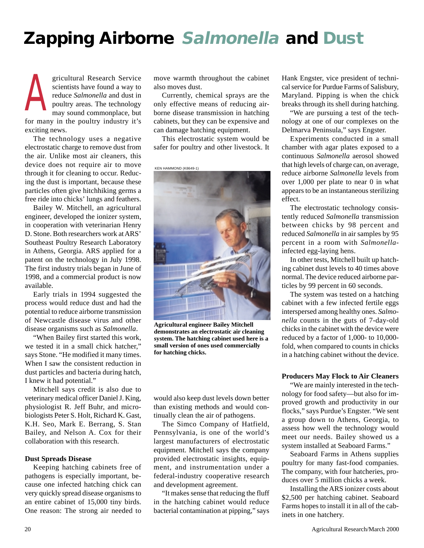## **Zapping Airborne Salmonella and Dust**

gricultural Research Service scientists have found a way to reduce *Salmonella* and dust in poultry areas. The technology may sound commonplace, but for many in the poultry industry it's exciting news. A

The technology uses a negative electrostatic charge to remove dust from the air. Unlike most air cleaners, this device does not require air to move through it for cleaning to occur. Reducing the dust is important, because these particles often give hitchhiking germs a free ride into chicks' lungs and feathers.

Bailey W. Mitchell, an agricultural engineer, developed the ionizer system, in cooperation with veterinarian Henry D. Stone. Both researchers work at ARS' Southeast Poultry Research Laboratory in Athens, Georgia. ARS applied for a patent on the technology in July 1998. The first industry trials began in June of 1998, and a commercial product is now available.

Early trials in 1994 suggested the process would reduce dust and had the potential to reduce airborne transmission of Newcastle disease virus and other disease organisms such as *Salmonella*.

"When Bailey first started this work, we tested it in a small chick hatcher," says Stone. "He modified it many times. When I saw the consistent reduction in dust particles and bacteria during hatch, I knew it had potential."

Mitchell says credit is also due to veterinary medical officer Daniel J. King, physiologist R. Jeff Buhr, and microbiologists Peter S. Holt, Richard K. Gast, K.H. Seo, Mark E. Berrang, S. Stan Bailey, and Nelson A. Cox for their collaboration with this research.

## **Dust Spreads Disease**

Keeping hatching cabinets free of pathogens is especially important, because one infected hatching chick can very quickly spread disease organisms to an entire cabinet of 15,000 tiny birds. One reason: The strong air needed to

move warmth throughout the cabinet also moves dust.

Currently, chemical sprays are the only effective means of reducing airborne disease transmission in hatching cabinets, but they can be expensive and can damage hatching equipment.

This electrostatic system would be safer for poultry and other livestock. It

KEN HAMMOND (K8649-1)



**Agricultural engineer Bailey Mitchell demonstrates an electrostatic air cleaning system. The hatching cabinet used here is a small version of ones used commercially for hatching chicks.**

would also keep dust levels down better than existing methods and would continually clean the air of pathogens.

The Simco Company of Hatfield, Pennsylvania, is one of the world's largest manufacturers of electrostatic equipment. Mitchell says the company provided electrostatic insights, equipment, and instrumentation under a federal-industry cooperative research and development agreement.

"It makes sense that reducing the fluff in the hatching cabinet would reduce bacterial contamination at pipping," says Hank Engster, vice president of technical service for Purdue Farms of Salisbury, Maryland. Pipping is when the chick breaks through its shell during hatching.

"We are pursuing a test of the technology at one of our complexes on the Delmarva Peninsula," says Engster.

Experiments conducted in a small chamber with agar plates exposed to a continuous *Salmonella* aerosol showed that high levels of charge can, on average, reduce airborne *Salmonella* levels from over 1,000 per plate to near 0 in what appears to be an instantaneous sterilizing effect.

The electrostatic technology consistently reduced *Salmonella* transmission between chicks by 98 percent and reduced *Salmonella* in air samples by 95 percent in a room with *Salmonella*infected egg-laying hens.

In other tests, Mitchell built up hatching cabinet dust levels to 40 times above normal. The device reduced airborne particles by 99 percent in 60 seconds.

The system was tested on a hatching cabinet with a few infected fertile eggs interspersed among healthy ones. *Salmonella* counts in the guts of 7-day-old chicks in the cabinet with the device were reduced by a factor of 1,000- to 10,000 fold, when compared to counts in chicks in a hatching cabinet without the device.

## **Producers May Flock to Air Cleaners**

"We are mainly interested in the technology for food safety—but also for improved growth and productivity in our flocks," says Purdue's Engster. "We sent a group down to Athens, Georgia, to assess how well the technology would meet our needs. Bailey showed us a system installed at Seaboard Farms."

Seaboard Farms in Athens supplies poultry for many fast-food companies. The company, with four hatcheries, produces over 5 million chicks a week.

Installing the ARS ionizer costs about \$2,500 per hatching cabinet. Seaboard Farms hopes to install it in all of the cabinets in one hatchery.